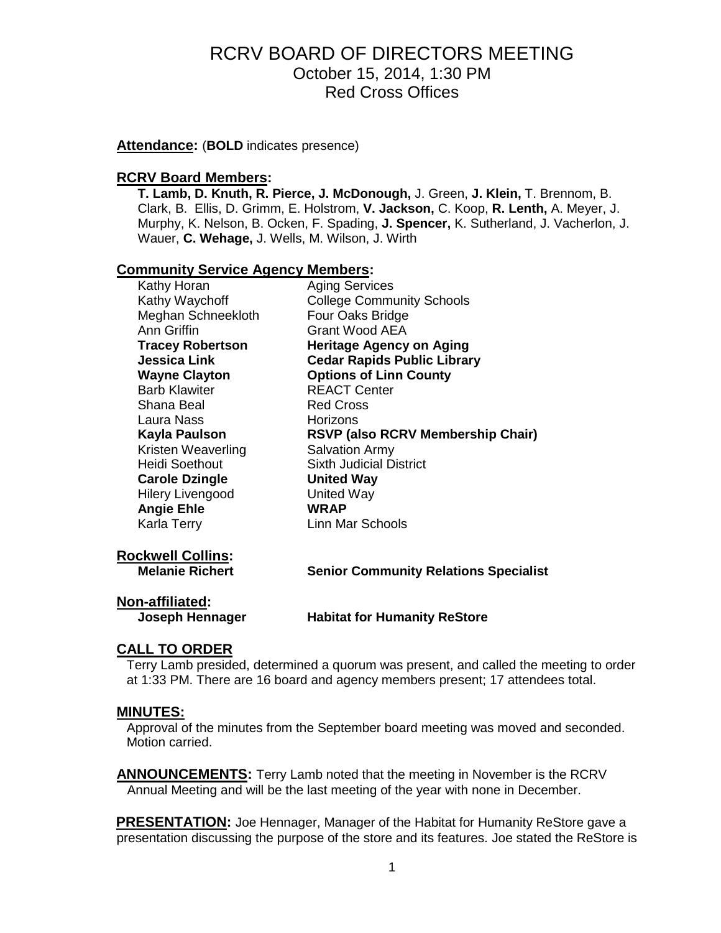**Attendance:** (**BOLD** indicates presence)

#### **RCRV Board Members:**

**T. Lamb, D. Knuth, R. Pierce, J. McDonough,** J. Green, **J. Klein,** T. Brennom, B. Clark, B. Ellis, D. Grimm, E. Holstrom, **V. Jackson,** C. Koop, **R. Lenth,** A. Meyer, J. Murphy, K. Nelson, B. Ocken, F. Spading, **J. Spencer,** K. Sutherland, J. Vacherlon, J. Wauer, **C. Wehage,** J. Wells, M. Wilson, J. Wirth

#### **Community Service Agency Members:**

| Kathy Horan             | <b>Aging Services</b>                    |  |
|-------------------------|------------------------------------------|--|
| Kathy Waychoff          | <b>College Community Schools</b>         |  |
| Meghan Schneekloth      | Four Oaks Bridge                         |  |
| Ann Griffin             | Grant Wood AEA                           |  |
| <b>Tracey Robertson</b> | <b>Heritage Agency on Aging</b>          |  |
| <b>Jessica Link</b>     | <b>Cedar Rapids Public Library</b>       |  |
| <b>Wayne Clayton</b>    | <b>Options of Linn County</b>            |  |
| <b>Barb Klawiter</b>    | <b>REACT Center</b>                      |  |
| Shana Beal              | <b>Red Cross</b>                         |  |
| Laura Nass              | Horizons                                 |  |
| Kayla Paulson           | <b>RSVP (also RCRV Membership Chair)</b> |  |
| Kristen Weaverling      | <b>Salvation Army</b>                    |  |
| Heidi Soethout          | Sixth Judicial District                  |  |
| <b>Carole Dzingle</b>   | <b>United Way</b>                        |  |
| <b>Hilery Livengood</b> | <b>United Way</b>                        |  |
| <b>Angie Ehle</b>       | <b>WRAP</b>                              |  |
| Karla Terry             | Linn Mar Schools                         |  |
|                         |                                          |  |
|                         |                                          |  |

**Rockwell Collins:**

**Melanie Richert Senior Community Relations Specialist**

## **Non-affiliated:**

**Joseph Hennager Habitat for Humanity ReStore**

#### **CALL TO ORDER**

Terry Lamb presided, determined a quorum was present, and called the meeting to order at 1:33 PM. There are 16 board and agency members present; 17 attendees total.

#### **MINUTES:**

Approval of the minutes from the September board meeting was moved and seconded. Motion carried.

**ANNOUNCEMENTS:** Terry Lamb noted that the meeting in November is the RCRV Annual Meeting and will be the last meeting of the year with none in December.

**PRESENTATION:** Joe Hennager, Manager of the Habitat for Humanity ReStore gave a presentation discussing the purpose of the store and its features. Joe stated the ReStore is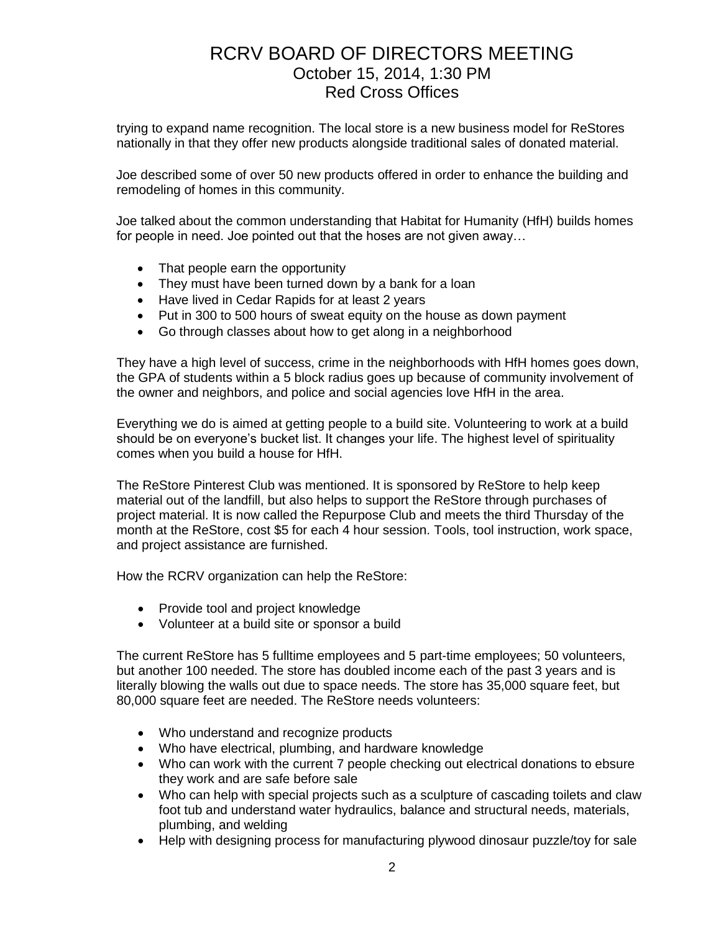trying to expand name recognition. The local store is a new business model for ReStores nationally in that they offer new products alongside traditional sales of donated material.

Joe described some of over 50 new products offered in order to enhance the building and remodeling of homes in this community.

Joe talked about the common understanding that Habitat for Humanity (HfH) builds homes for people in need. Joe pointed out that the hoses are not given away…

- That people earn the opportunity
- They must have been turned down by a bank for a loan
- Have lived in Cedar Rapids for at least 2 years
- Put in 300 to 500 hours of sweat equity on the house as down payment
- Go through classes about how to get along in a neighborhood

They have a high level of success, crime in the neighborhoods with HfH homes goes down, the GPA of students within a 5 block radius goes up because of community involvement of the owner and neighbors, and police and social agencies love HfH in the area.

Everything we do is aimed at getting people to a build site. Volunteering to work at a build should be on everyone's bucket list. It changes your life. The highest level of spirituality comes when you build a house for HfH.

The ReStore Pinterest Club was mentioned. It is sponsored by ReStore to help keep material out of the landfill, but also helps to support the ReStore through purchases of project material. It is now called the Repurpose Club and meets the third Thursday of the month at the ReStore, cost \$5 for each 4 hour session. Tools, tool instruction, work space, and project assistance are furnished.

How the RCRV organization can help the ReStore:

- Provide tool and project knowledge
- Volunteer at a build site or sponsor a build

The current ReStore has 5 fulltime employees and 5 part-time employees; 50 volunteers, but another 100 needed. The store has doubled income each of the past 3 years and is literally blowing the walls out due to space needs. The store has 35,000 square feet, but 80,000 square feet are needed. The ReStore needs volunteers:

- Who understand and recognize products
- Who have electrical, plumbing, and hardware knowledge
- Who can work with the current 7 people checking out electrical donations to ebsure they work and are safe before sale
- Who can help with special projects such as a sculpture of cascading toilets and claw foot tub and understand water hydraulics, balance and structural needs, materials, plumbing, and welding
- Help with designing process for manufacturing plywood dinosaur puzzle/toy for sale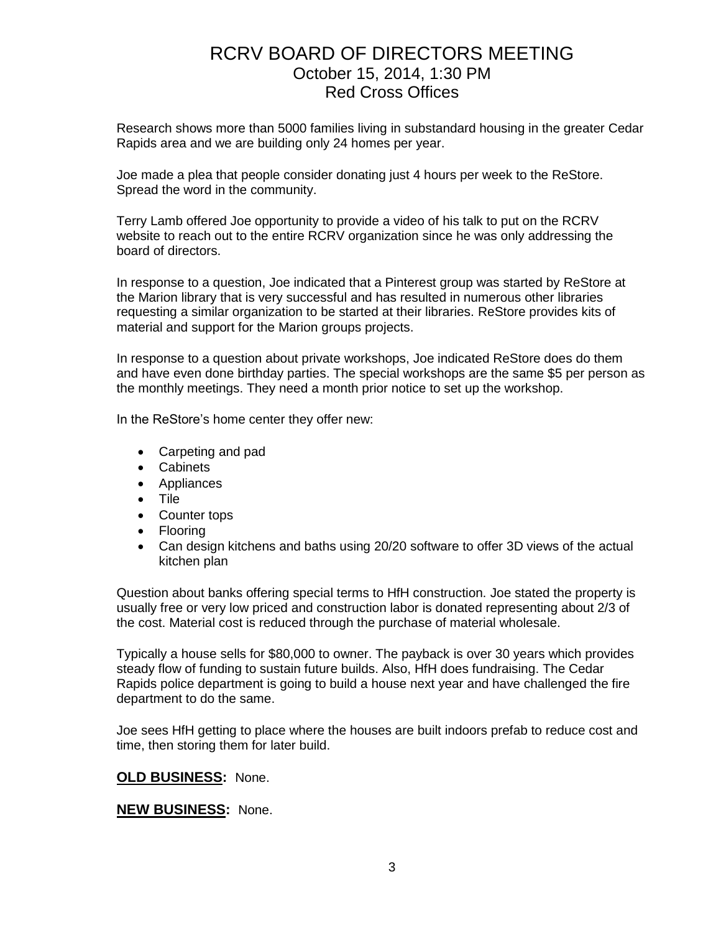Research shows more than 5000 families living in substandard housing in the greater Cedar Rapids area and we are building only 24 homes per year.

Joe made a plea that people consider donating just 4 hours per week to the ReStore. Spread the word in the community.

Terry Lamb offered Joe opportunity to provide a video of his talk to put on the RCRV website to reach out to the entire RCRV organization since he was only addressing the board of directors.

In response to a question, Joe indicated that a Pinterest group was started by ReStore at the Marion library that is very successful and has resulted in numerous other libraries requesting a similar organization to be started at their libraries. ReStore provides kits of material and support for the Marion groups projects.

In response to a question about private workshops, Joe indicated ReStore does do them and have even done birthday parties. The special workshops are the same \$5 per person as the monthly meetings. They need a month prior notice to set up the workshop.

In the ReStore's home center they offer new:

- Carpeting and pad
- Cabinets
- Appliances
- Tile
- Counter tops
- Flooring
- Can design kitchens and baths using 20/20 software to offer 3D views of the actual kitchen plan

Question about banks offering special terms to HfH construction. Joe stated the property is usually free or very low priced and construction labor is donated representing about 2/3 of the cost. Material cost is reduced through the purchase of material wholesale.

Typically a house sells for \$80,000 to owner. The payback is over 30 years which provides steady flow of funding to sustain future builds. Also, HfH does fundraising. The Cedar Rapids police department is going to build a house next year and have challenged the fire department to do the same.

Joe sees HfH getting to place where the houses are built indoors prefab to reduce cost and time, then storing them for later build.

#### **OLD BUSINESS:** None.

#### **NEW BUSINESS:** None.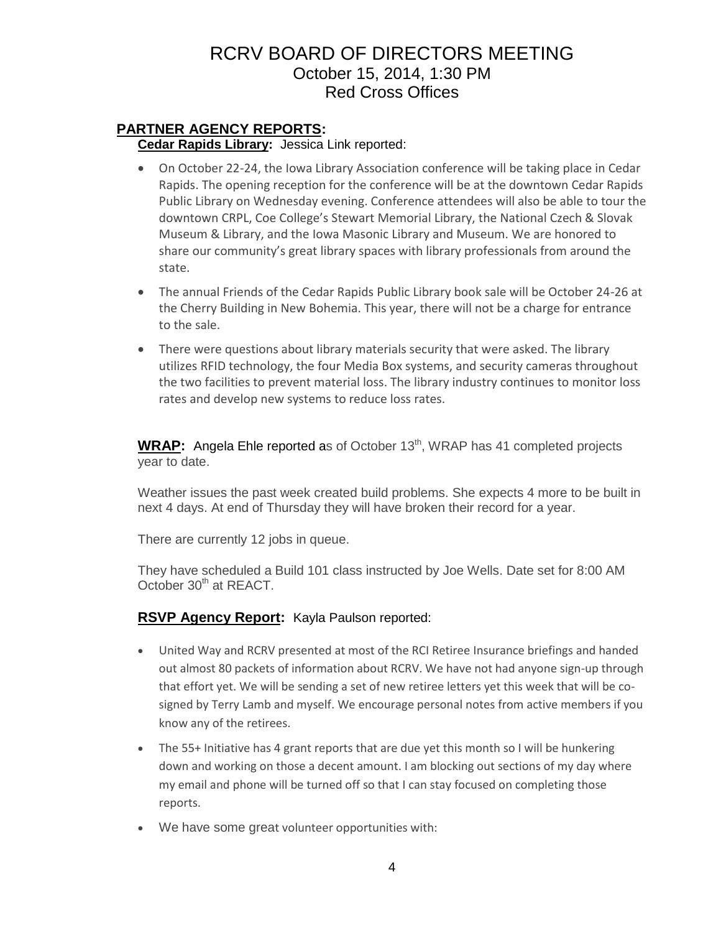### **PARTNER AGENCY REPORTS:**

**Cedar Rapids Library:** Jessica Link reported:

- On October 22-24, the Iowa Library Association conference will be taking place in Cedar Rapids. The opening reception for the conference will be at the downtown Cedar Rapids Public Library on Wednesday evening. Conference attendees will also be able to tour the downtown CRPL, Coe College's Stewart Memorial Library, the National Czech & Slovak Museum & Library, and the Iowa Masonic Library and Museum. We are honored to share our community's great library spaces with library professionals from around the state.
- The annual Friends of the Cedar Rapids Public Library book sale will be October 24-26 at the Cherry Building in New Bohemia. This year, there will not be a charge for entrance to the sale.
- There were questions about library materials security that were asked. The library utilizes RFID technology, the four Media Box systems, and security cameras throughout the two facilities to prevent material loss. The library industry continues to monitor loss rates and develop new systems to reduce loss rates.

WRAP: Angela Ehle reported as of October 13<sup>th</sup>, WRAP has 41 completed projects year to date.

Weather issues the past week created build problems. She expects 4 more to be built in next 4 days. At end of Thursday they will have broken their record for a year.

There are currently 12 jobs in queue.

They have scheduled a Build 101 class instructed by Joe Wells. Date set for 8:00 AM October 30<sup>th</sup> at REACT.

### **RSVP Agency Report:** Kayla Paulson reported:

- United Way and RCRV presented at most of the RCI Retiree Insurance briefings and handed out almost 80 packets of information about RCRV. We have not had anyone sign-up through that effort yet. We will be sending a set of new retiree letters yet this week that will be cosigned by Terry Lamb and myself. We encourage personal notes from active members if you know any of the retirees.
- The 55+ Initiative has 4 grant reports that are due yet this month so I will be hunkering down and working on those a decent amount. I am blocking out sections of my day where my email and phone will be turned off so that I can stay focused on completing those reports.
- We have some great volunteer opportunities with: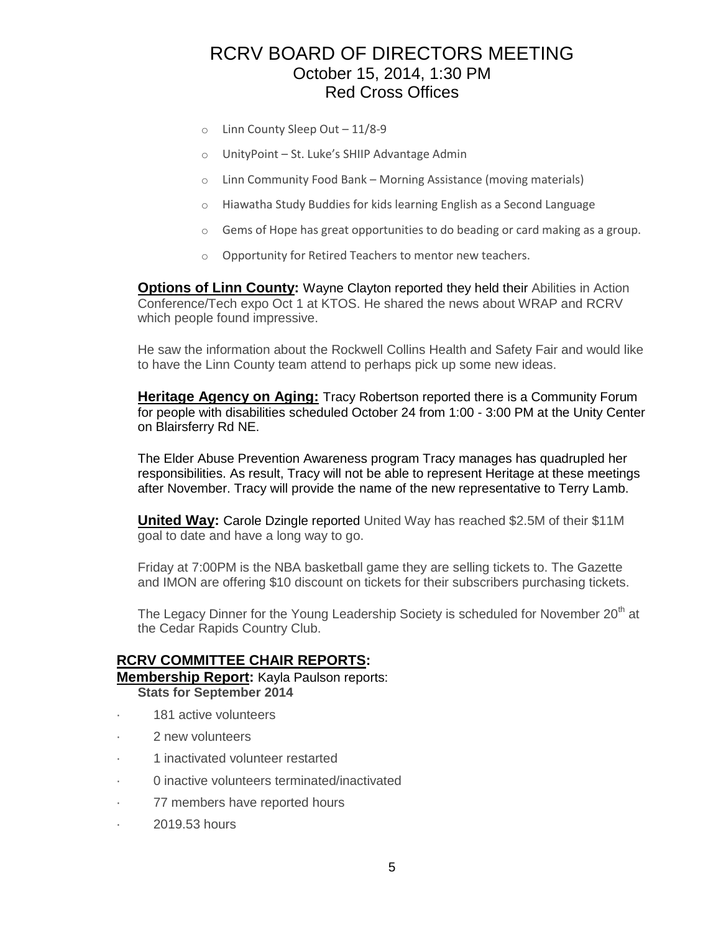- o Linn County Sleep Out 11/8-9
- $\circ$  UnityPoint St. Luke's SHIIP Advantage Admin
- o Linn Community Food Bank Morning Assistance (moving materials)
- o Hiawatha Study Buddies for kids learning English as a Second Language
- $\circ$  Gems of Hope has great opportunities to do beading or card making as a group.
- o Opportunity for Retired Teachers to mentor new teachers.

**Options of Linn County:** Wayne Clayton reported they held their Abilities in Action Conference/Tech expo Oct 1 at KTOS. He shared the news about WRAP and RCRV which people found impressive.

He saw the information about the Rockwell Collins Health and Safety Fair and would like to have the Linn County team attend to perhaps pick up some new ideas.

**Heritage Agency on Aging:** Tracy Robertson reported there is a Community Forum for people with disabilities scheduled October 24 from 1:00 - 3:00 PM at the Unity Center on Blairsferry Rd NE.

The Elder Abuse Prevention Awareness program Tracy manages has quadrupled her responsibilities. As result, Tracy will not be able to represent Heritage at these meetings after November. Tracy will provide the name of the new representative to Terry Lamb.

**United Way:** Carole Dzingle reported United Way has reached \$2.5M of their \$11M goal to date and have a long way to go.

Friday at 7:00PM is the NBA basketball game they are selling tickets to. The Gazette and IMON are offering \$10 discount on tickets for their subscribers purchasing tickets.

The Legacy Dinner for the Young Leadership Society is scheduled for November  $20<sup>th</sup>$  at the Cedar Rapids Country Club.

#### **RCRV COMMITTEE CHAIR REPORTS:**

# **Membership Report:** Kayla Paulson reports:

- **Stats for September 2014**
- 181 active volunteers
- 2 new volunteers
- · 1 inactivated volunteer restarted
- · 0 inactive volunteers terminated/inactivated
- · 77 members have reported hours
- · 2019.53 hours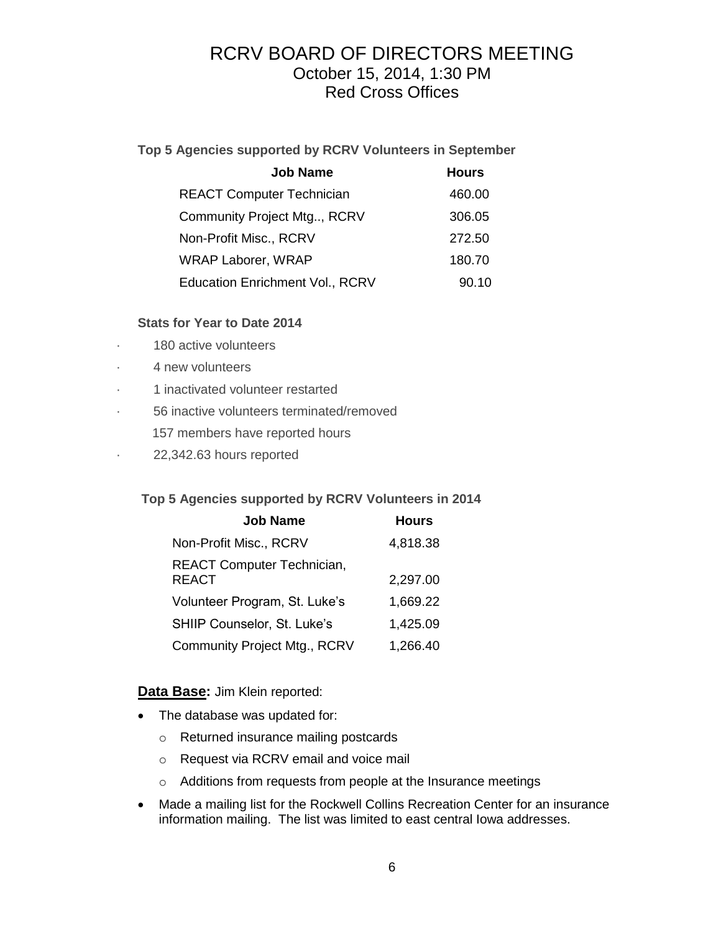### **Top 5 Agencies supported by RCRV Volunteers in September**

| <b>Job Name</b>                        | <b>Hours</b> |
|----------------------------------------|--------------|
| <b>REACT Computer Technician</b>       | 460.00       |
| Community Project Mtg, RCRV            | 306.05       |
| Non-Profit Misc., RCRV                 | 272.50       |
| <b>WRAP Laborer, WRAP</b>              | 180.70       |
| <b>Education Enrichment Vol., RCRV</b> | 90.10        |

### **Stats for Year to Date 2014**

- 180 active volunteers
- 4 new volunteers
- · 1 inactivated volunteer restarted
- · 56 inactive volunteers terminated/removed
	- 157 members have reported hours
- · 22,342.63 hours reported

#### **Top 5 Agencies supported by RCRV Volunteers in 2014**

| <b>Job Name</b>                            | <b>Hours</b> |
|--------------------------------------------|--------------|
| Non-Profit Misc., RCRV                     | 4,818.38     |
| REACT Computer Technician,<br><b>REACT</b> | 2,297.00     |
| Volunteer Program, St. Luke's              | 1,669.22     |
| SHIIP Counselor, St. Luke's                | 1,425.09     |
| <b>Community Project Mtg., RCRV</b>        | 1,266.40     |

#### **Data Base:** Jim Klein reported:

- The database was updated for:
	- o Returned insurance mailing postcards
	- o Request via RCRV email and voice mail
	- o Additions from requests from people at the Insurance meetings
- Made a mailing list for the Rockwell Collins Recreation Center for an insurance information mailing. The list was limited to east central Iowa addresses.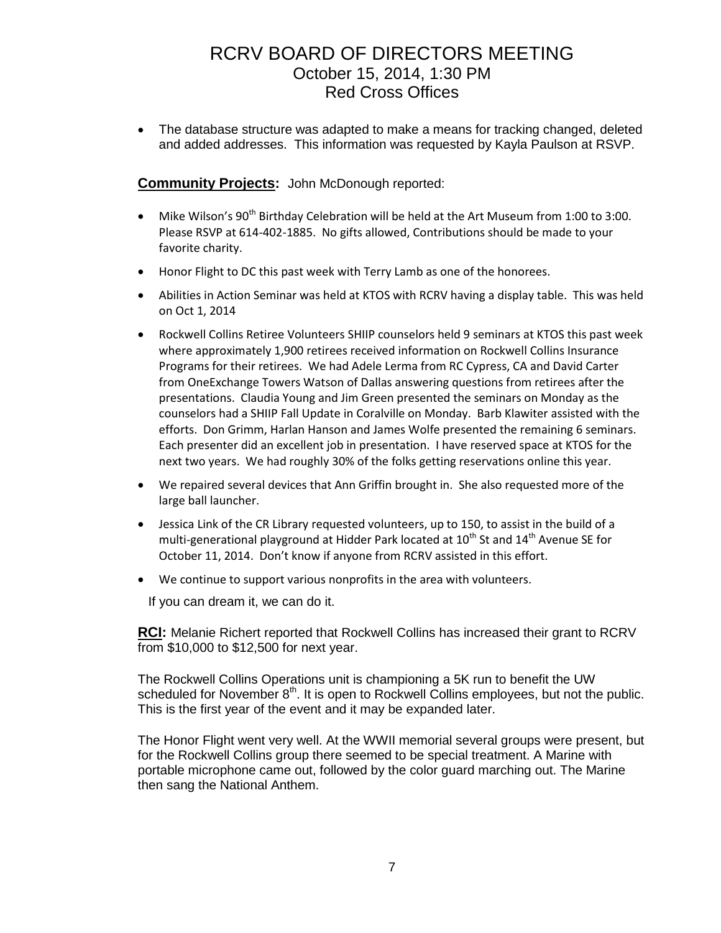• The database structure was adapted to make a means for tracking changed, deleted and added addresses. This information was requested by Kayla Paulson at RSVP.

### **Community Projects:** John McDonough reported:

- Mike Wilson's 90<sup>th</sup> Birthday Celebration will be held at the Art Museum from 1:00 to 3:00. Please RSVP at 614-402-1885. No gifts allowed, Contributions should be made to your favorite charity.
- Honor Flight to DC this past week with Terry Lamb as one of the honorees.
- Abilities in Action Seminar was held at KTOS with RCRV having a display table. This was held on Oct 1, 2014
- Rockwell Collins Retiree Volunteers SHIIP counselors held 9 seminars at KTOS this past week where approximately 1,900 retirees received information on Rockwell Collins Insurance Programs for their retirees. We had Adele Lerma from RC Cypress, CA and David Carter from OneExchange Towers Watson of Dallas answering questions from retirees after the presentations. Claudia Young and Jim Green presented the seminars on Monday as the counselors had a SHIIP Fall Update in Coralville on Monday. Barb Klawiter assisted with the efforts. Don Grimm, Harlan Hanson and James Wolfe presented the remaining 6 seminars. Each presenter did an excellent job in presentation. I have reserved space at KTOS for the next two years. We had roughly 30% of the folks getting reservations online this year.
- We repaired several devices that Ann Griffin brought in. She also requested more of the large ball launcher.
- Jessica Link of the CR Library requested volunteers, up to 150, to assist in the build of a multi-generational playground at Hidder Park located at  $10^{th}$  St and  $14^{th}$  Avenue SE for October 11, 2014. Don't know if anyone from RCRV assisted in this effort.
- We continue to support various nonprofits in the area with volunteers.

If you can dream it, we can do it.

**RCI:** Melanie Richert reported that Rockwell Collins has increased their grant to RCRV from \$10,000 to \$12,500 for next year.

The Rockwell Collins Operations unit is championing a 5K run to benefit the UW scheduled for November  $8<sup>th</sup>$ . It is open to Rockwell Collins employees, but not the public. This is the first year of the event and it may be expanded later.

The Honor Flight went very well. At the WWII memorial several groups were present, but for the Rockwell Collins group there seemed to be special treatment. A Marine with portable microphone came out, followed by the color guard marching out. The Marine then sang the National Anthem.